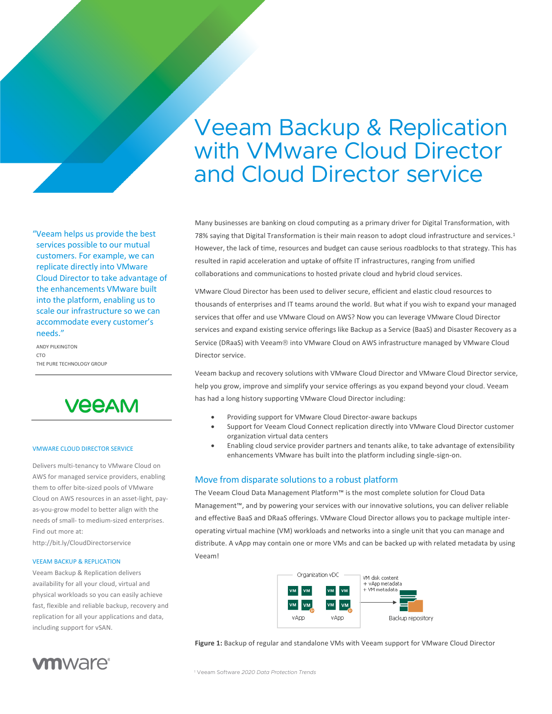# Veeam Backup & Replication with VMware Cloud Director and Cloud Director service

Many businesses are banking on cloud computing as a primary driver for Digital Transformation, with 78% saying that Digital Transformation is their main reason to adopt cloud infrastructure and services.<sup>1</sup> However, the lack of time, resources and budget can cause serious roadblocks to that strategy. This has resulted in rapid acceleration and uptake of offsite IT infrastructures, ranging from unified collaborations and communications to hosted private cloud and hybrid cloud services.

VMware Cloud Director has been used to deliver secure, efficient and elastic cloud resources to thousands of enterprises and IT teams around the world. But what if you wish to expand your managed services that offer and use VMware Cloud on AWS? Now you can leverage VMware Cloud Director services and expand existing service offerings like Backup as a Service (BaaS) and Disaster Recovery as a Service (DRaaS) with Veeam® into VMware Cloud on AWS infrastructure managed by VMware Cloud Director service.

Veeam backup and recovery solutions with VMware Cloud Director and VMware Cloud Director service, help you grow, improve and simplify your service offerings as you expand beyond your cloud. Veeam has had a long history supporting VMware Cloud Director including:

- Providing support for VMware Cloud Director-aware backups
- Support for Veeam Cloud Connect replication directly into VMware Cloud Director customer organization virtual data centers
- Enabling cloud service provider partners and tenants alike, to take advantage of extensibility enhancements VMware has built into the platform including single-sign-on.

# Move from disparate solutions to a robust platform

The Veeam Cloud Data Management Platform™ is the most complete solution for Cloud Data Management™, and by powering your services with our innovative solutions, you can deliver reliable and effective BaaS and DRaaS offerings. VMware Cloud Director allows you to package multiple interoperating virtual machine (VM) workloads and networks into a single unit that you can manage and distribute. A vApp may contain one or more VMs and can be backed up with related metadata by using Veeam!



**Figure 1:** Backup of regular and standalone VMs with Veeam support for VMware Cloud Director

"Veeam helps us provide the best services possible to our mutual customers. For example, we can replicate directly into VMware Cloud Director to take advantage of the enhancements VMware built into the platform, enabling us to scale our infrastructure so we can accommodate every customer's needs."

ANDY PILKINGTON CTO THE PURE TECHNOLOGY GROUP



#### VMWARE CLOUD DIRECTOR SERVICE

Delivers multi-tenancy to VMware Cloud on AWS for managed service providers, enabling them to offer bite-sized pools of VMware Cloud on AWS resources in an asset-light, payas-you-grow model to better align with the needs of small- to medium-sized enterprises. Find out more at:

http://bit.ly/CloudDirectorservice

#### VEEAM BACKUP & REPLICATION

**vm**ware<sup>®</sup>

Veeam Backup & Replication delivers availability for all your cloud, virtual and physical workloads so you can easily achieve fast, flexible and reliable backup, recovery and replication for all your applications and data, including support for vSAN.